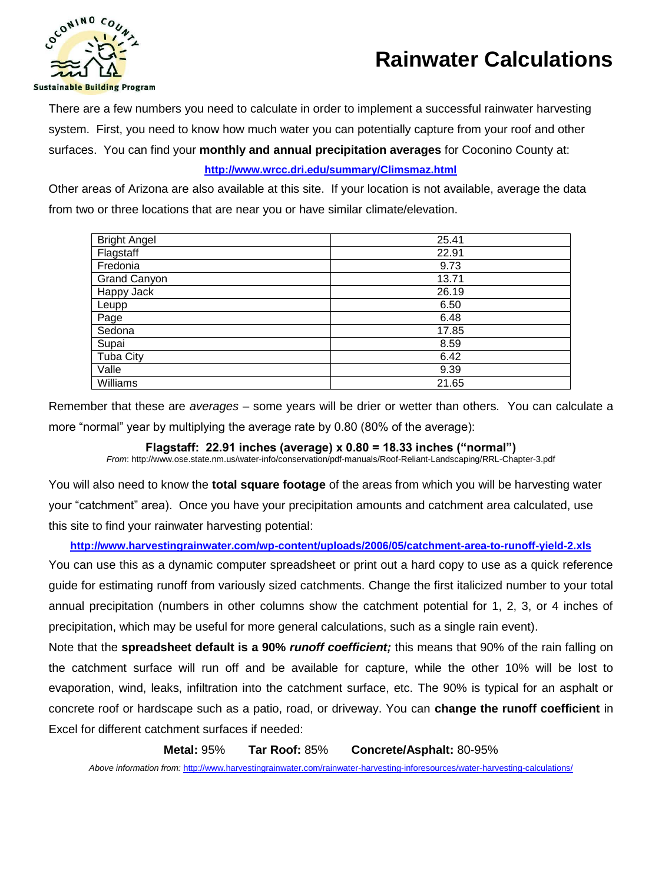



There are a few numbers you need to calculate in order to implement a successful rainwater harvesting system. First, you need to know how much water you can potentially capture from your roof and other surfaces. You can find your **monthly and annual precipitation averages** for Coconino County at:

# **<http://www.wrcc.dri.edu/summary/Climsmaz.html>**

Other areas of Arizona are also available at this site. If your location is not available, average the data from two or three locations that are near you or have similar climate/elevation.

| <b>Bright Angel</b> | 25.41 |
|---------------------|-------|
| Flagstaff           | 22.91 |
| Fredonia            | 9.73  |
| <b>Grand Canyon</b> | 13.71 |
| Happy Jack          | 26.19 |
| Leupp               | 6.50  |
| Page                | 6.48  |
| Sedona              | 17.85 |
| Supai               | 8.59  |
| <b>Tuba City</b>    | 6.42  |
| Valle               | 9.39  |
| Williams            | 21.65 |

Remember that these are *averages* – some years will be drier or wetter than others. You can calculate a more "normal" year by multiplying the average rate by 0.80 (80% of the average):

# **Flagstaff: 22.91 inches (average) x 0.80 = 18.33 inches ("normal")**

*From*: http://www.ose.state.nm.us/water-info/conservation/pdf-manuals/Roof-Reliant-Landscaping/RRL-Chapter-3.pdf

You will also need to know the **total square footage** of the areas from which you will be harvesting water your "catchment" area). Once you have your precipitation amounts and catchment area calculated, use this site to find your rainwater harvesting potential:

## **<http://www.harvestingrainwater.com/wp-content/uploads/2006/05/catchment-area-to-runoff-yield-2.xls>**

You can use this as a dynamic computer spreadsheet or print out a hard copy to use as a quick reference guide for estimating runoff from variously sized catchments. Change the first italicized number to your total annual precipitation (numbers in other columns show the catchment potential for 1, 2, 3, or 4 inches of precipitation, which may be useful for more general calculations, such as a single rain event).

Note that the **spreadsheet default is a 90%** *runoff coefficient;* this means that 90% of the rain falling on the catchment surface will run off and be available for capture, while the other 10% will be lost to evaporation, wind, leaks, infiltration into the catchment surface, etc. The 90% is typical for an asphalt or concrete roof or hardscape such as a patio, road, or driveway. You can **change the runoff coefficient** in Excel for different catchment surfaces if needed:

**Metal:** 95% **Tar Roof:** 85% **Concrete/Asphalt:** 80-95%

*Above information from:* <http://www.harvestingrainwater.com/rainwater-harvesting-inforesources/water-harvesting-calculations/>